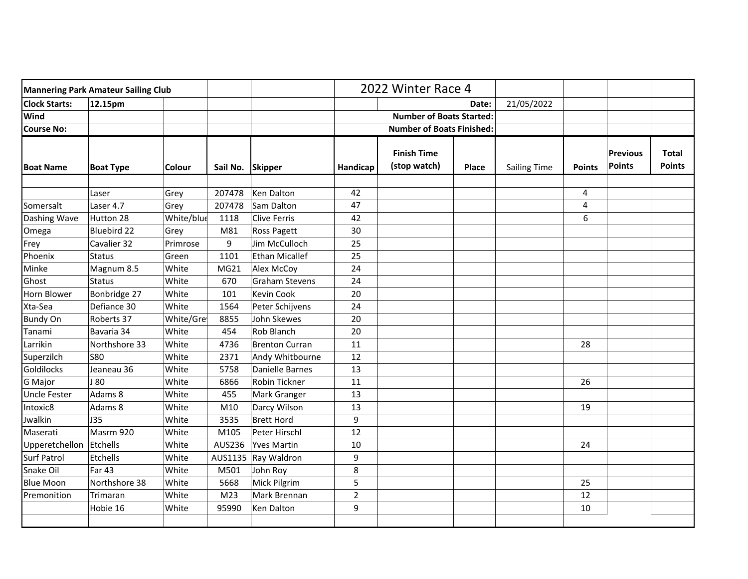| <b>Mannering Park Amateur Sailing Club</b> |                  |            |                  |                       | 2022 Winter Race 4               |                                    |       |                     |               |                                  |                               |
|--------------------------------------------|------------------|------------|------------------|-----------------------|----------------------------------|------------------------------------|-------|---------------------|---------------|----------------------------------|-------------------------------|
| <b>Clock Starts:</b>                       | 12.15pm          |            |                  |                       |                                  |                                    | Date: | 21/05/2022          |               |                                  |                               |
| Wind                                       |                  |            |                  |                       |                                  | <b>Number of Boats Started:</b>    |       |                     |               |                                  |                               |
| <b>Course No:</b>                          |                  |            |                  |                       | <b>Number of Boats Finished:</b> |                                    |       |                     |               |                                  |                               |
| <b>Boat Name</b>                           | <b>Boat Type</b> | Colour     | Sail No. Skipper |                       | Handicap                         | <b>Finish Time</b><br>(stop watch) | Place | <b>Sailing Time</b> | <b>Points</b> | <b>Previous</b><br><b>Points</b> | <b>Total</b><br><b>Points</b> |
|                                            | Laser            | Grey       | 207478           | Ken Dalton            | 42                               |                                    |       |                     | 4             |                                  |                               |
| Somersalt                                  | Laser 4.7        | Grey       | 207478           | Sam Dalton            | 47                               |                                    |       |                     | 4             |                                  |                               |
| Dashing Wave                               | Hutton 28        | White/blue | 1118             | Clive Ferris          | 42                               |                                    |       |                     | 6             |                                  |                               |
| Omega                                      | Bluebird 22      | Grey       | M81              | Ross Pagett           | 30                               |                                    |       |                     |               |                                  |                               |
| Frey                                       | Cavalier 32      | Primrose   | 9                | Jim McCulloch         | 25                               |                                    |       |                     |               |                                  |                               |
| Phoenix                                    | <b>Status</b>    | Green      | 1101             | Ethan Micallef        | 25                               |                                    |       |                     |               |                                  |                               |
| Minke                                      | Magnum 8.5       | White      | MG21             | Alex McCoy            | 24                               |                                    |       |                     |               |                                  |                               |
| Ghost                                      | <b>Status</b>    | White      | 670              | Graham Stevens        | 24                               |                                    |       |                     |               |                                  |                               |
| Horn Blower                                | Bonbridge 27     | White      | 101              | Kevin Cook            | 20                               |                                    |       |                     |               |                                  |                               |
| Xta-Sea                                    | Defiance 30      | White      | 1564             | Peter Schijvens       | 24                               |                                    |       |                     |               |                                  |                               |
| <b>Bundy On</b>                            | Roberts 37       | White/Gre  | 8855             | John Skewes           | 20                               |                                    |       |                     |               |                                  |                               |
| Tanami                                     | Bavaria 34       | White      | 454              | Rob Blanch            | 20                               |                                    |       |                     |               |                                  |                               |
| Larrikin                                   | Northshore 33    | White      | 4736             | <b>Brenton Curran</b> | 11                               |                                    |       |                     | 28            |                                  |                               |
| Superzilch                                 | <b>S80</b>       | White      | 2371             | Andy Whitbourne       | 12                               |                                    |       |                     |               |                                  |                               |
| Goldilocks                                 | Jeaneau 36       | White      | 5758             | Danielle Barnes       | 13                               |                                    |       |                     |               |                                  |                               |
| G Major                                    | J 80             | White      | 6866             | Robin Tickner         | 11                               |                                    |       |                     | 26            |                                  |                               |
| <b>Uncle Fester</b>                        | Adams 8          | White      | 455              | Mark Granger          | 13                               |                                    |       |                     |               |                                  |                               |
| Intoxic8                                   | Adams 8          | White      | M10              | Darcy Wilson          | 13                               |                                    |       |                     | 19            |                                  |                               |
| Jwalkin                                    | <b>J35</b>       | White      | 3535             | <b>Brett Hord</b>     | 9                                |                                    |       |                     |               |                                  |                               |
| Maserati                                   | Masrm 920        | White      | M105             | Peter Hirschl         | 12                               |                                    |       |                     |               |                                  |                               |
| Upperetchellon                             | Etchells         | White      | AUS236           | <b>Yves Martin</b>    | 10                               |                                    |       |                     | 24            |                                  |                               |
| <b>Surf Patrol</b>                         | Etchells         | White      |                  | AUS1135 Ray Waldron   | 9                                |                                    |       |                     |               |                                  |                               |
| Snake Oil                                  | Far 43           | White      | M501             | John Roy              | 8                                |                                    |       |                     |               |                                  |                               |
| <b>Blue Moon</b>                           | Northshore 38    | White      | 5668             | Mick Pilgrim          | 5                                |                                    |       |                     | 25            |                                  |                               |
| Premonition                                | Trimaran         | White      | M <sub>23</sub>  | Mark Brennan          | $\overline{2}$                   |                                    |       |                     | 12            |                                  |                               |
|                                            | Hobie 16         | White      | 95990            | Ken Dalton            | 9                                |                                    |       |                     | 10            |                                  |                               |
|                                            |                  |            |                  |                       |                                  |                                    |       |                     |               |                                  |                               |